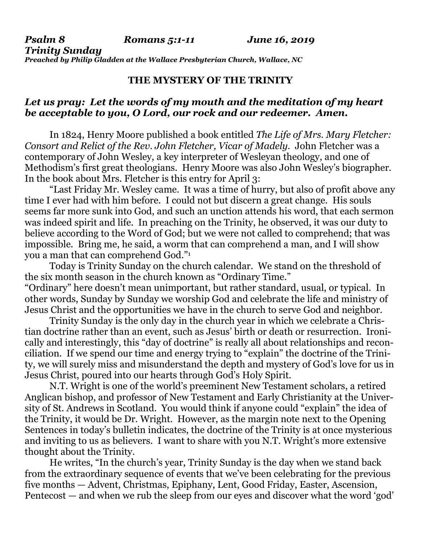*Preached by Philip Gladden at the Wallace Presbyterian Church, Wallace, NC*

## **THE MYSTERY OF THE TRINITY**

## *Let us pray: Let the words of my mouth and the meditation of my heart be acceptable to you, O Lord, our rock and our redeemer. Amen.*

In 1824, Henry Moore published a book entitled *The Life of Mrs. Mary Fletcher: Consort and Relict of the Rev. John Fletcher, Vicar of Madely.* John Fletcher was a contemporary of John Wesley, a key interpreter of Wesleyan theology, and one of Methodism's first great theologians. Henry Moore was also John Wesley's biographer. In the book about Mrs. Fletcher is this entry for April 3:

"Last Friday Mr. Wesley came. It was a time of hurry, but also of profit above any time I ever had with him before. I could not but discern a great change. His souls seems far more sunk into God, and such an unction attends his word, that each sermon was indeed spirit and life. In preaching on the Trinity, he observed, it was our duty to believe according to the Word of God; but we were not called to comprehend; that was impossible. Bring me, he said, a worm that can comprehend a man, and I will show you a man that can comprehend God."<sup>1</sup>

Today is Trinity Sunday on the church calendar. We stand on the threshold of the six month season in the church known as "Ordinary Time."

"Ordinary" here doesn't mean unimportant, but rather standard, usual, or typical. In other words, Sunday by Sunday we worship God and celebrate the life and ministry of Jesus Christ and the opportunities we have in the church to serve God and neighbor.

Trinity Sunday is the only day in the church year in which we celebrate a Christian doctrine rather than an event, such as Jesus' birth or death or resurrection. Ironically and interestingly, this "day of doctrine" is really all about relationships and reconciliation. If we spend our time and energy trying to "explain" the doctrine of the Trinity, we will surely miss and misunderstand the depth and mystery of God's love for us in Jesus Christ, poured into our hearts through God's Holy Spirit.

N.T. Wright is one of the world's preeminent New Testament scholars, a retired Anglican bishop, and professor of New Testament and Early Christianity at the University of St. Andrews in Scotland. You would think if anyone could "explain" the idea of the Trinity, it would be Dr. Wright. However, as the margin note next to the Opening Sentences in today's bulletin indicates, the doctrine of the Trinity is at once mysterious and inviting to us as believers. I want to share with you N.T. Wright's more extensive thought about the Trinity.

He writes, "In the church's year, Trinity Sunday is the day when we stand back from the extraordinary sequence of events that we've been celebrating for the previous five months — Advent, Christmas, Epiphany, Lent, Good Friday, Easter, Ascension, Pentecost — and when we rub the sleep from our eyes and discover what the word 'god'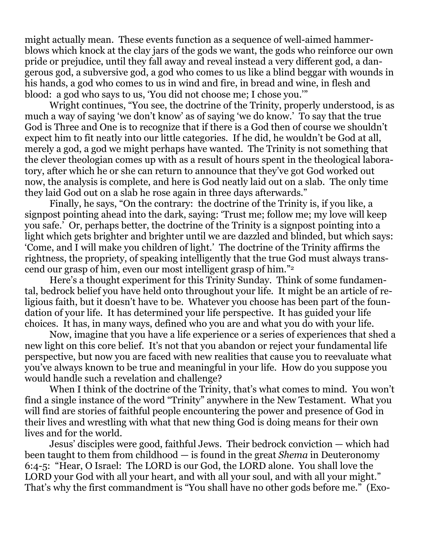might actually mean. These events function as a sequence of well-aimed hammerblows which knock at the clay jars of the gods we want, the gods who reinforce our own pride or prejudice, until they fall away and reveal instead a very different god, a dangerous god, a subversive god, a god who comes to us like a blind beggar with wounds in his hands, a god who comes to us in wind and fire, in bread and wine, in flesh and blood: a god who says to us, 'You did not choose me; I chose you.'"

Wright continues, "You see, the doctrine of the Trinity, properly understood, is as much a way of saying 'we don't know' as of saying 'we do know.' To say that the true God is Three and One is to recognize that if there is a God then of course we shouldn't expect him to fit neatly into our little categories. If he did, he wouldn't be God at all, merely a god, a god we might perhaps have wanted. The Trinity is not something that the clever theologian comes up with as a result of hours spent in the theological laboratory, after which he or she can return to announce that they've got God worked out now, the analysis is complete, and here is God neatly laid out on a slab. The only time they laid God out on a slab he rose again in three days afterwards."

Finally, he says, "On the contrary: the doctrine of the Trinity is, if you like, a signpost pointing ahead into the dark, saying: 'Trust me; follow me; my love will keep you safe.' Or, perhaps better, the doctrine of the Trinity is a signpost pointing into a light which gets brighter and brighter until we are dazzled and blinded, but which says: 'Come, and I will make you children of light.' The doctrine of the Trinity affirms the rightness, the propriety, of speaking intelligently that the true God must always transcend our grasp of him, even our most intelligent grasp of him."<sup>2</sup>

Here's a thought experiment for this Trinity Sunday. Think of some fundamental, bedrock belief you have held onto throughout your life. It might be an article of religious faith, but it doesn't have to be. Whatever you choose has been part of the foundation of your life. It has determined your life perspective. It has guided your life choices. It has, in many ways, defined who you are and what you do with your life.

Now, imagine that you have a life experience or a series of experiences that shed a new light on this core belief. It's not that you abandon or reject your fundamental life perspective, but now you are faced with new realities that cause you to reevaluate what you've always known to be true and meaningful in your life. How do you suppose you would handle such a revelation and challenge?

When I think of the doctrine of the Trinity, that's what comes to mind. You won't find a single instance of the word "Trinity" anywhere in the New Testament. What you will find are stories of faithful people encountering the power and presence of God in their lives and wrestling with what that new thing God is doing means for their own lives and for the world.

Jesus' disciples were good, faithful Jews. Their bedrock conviction — which had been taught to them from childhood — is found in the great *Shema* in Deuteronomy 6:4-5: "Hear, O Israel: The LORD is our God, the LORD alone. You shall love the LORD your God with all your heart, and with all your soul, and with all your might." That's why the first commandment is "You shall have no other gods before me." (Exo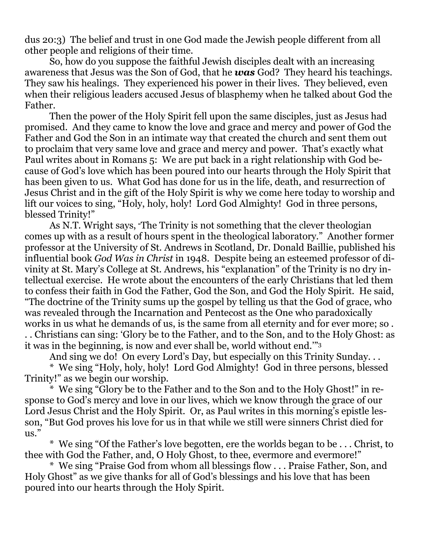dus 20:3) The belief and trust in one God made the Jewish people different from all other people and religions of their time.

So, how do you suppose the faithful Jewish disciples dealt with an increasing awareness that Jesus was the Son of God, that he *was* God? They heard his teachings. They saw his healings. They experienced his power in their lives. They believed, even when their religious leaders accused Jesus of blasphemy when he talked about God the Father.

Then the power of the Holy Spirit fell upon the same disciples, just as Jesus had promised. And they came to know the love and grace and mercy and power of God the Father and God the Son in an intimate way that created the church and sent them out to proclaim that very same love and grace and mercy and power. That's exactly what Paul writes about in Romans 5: We are put back in a right relationship with God because of God's love which has been poured into our hearts through the Holy Spirit that has been given to us. What God has done for us in the life, death, and resurrection of Jesus Christ and in the gift of the Holy Spirit is why we come here today to worship and lift our voices to sing, "Holy, holy, holy! Lord God Almighty! God in three persons, blessed Trinity!"

As N.T. Wright says, "The Trinity is not something that the clever theologian comes up with as a result of hours spent in the theological laboratory." Another former professor at the University of St. Andrews in Scotland, Dr. Donald Baillie, published his influential book *God Was in Christ* in 1948. Despite being an esteemed professor of divinity at St. Mary's College at St. Andrews, his "explanation" of the Trinity is no dry intellectual exercise. He wrote about the encounters of the early Christians that led them to confess their faith in God the Father, God the Son, and God the Holy Spirit. He said, "The doctrine of the Trinity sums up the gospel by telling us that the God of grace, who was revealed through the Incarnation and Pentecost as the One who paradoxically works in us what he demands of us, is the same from all eternity and for ever more; so . . . Christians can sing: 'Glory be to the Father, and to the Son, and to the Holy Ghost: as it was in the beginning, is now and ever shall be, world without end.'"<sup>3</sup>

And sing we do! On every Lord's Day, but especially on this Trinity Sunday...

\* We sing "Holy, holy, holy! Lord God Almighty! God in three persons, blessed Trinity!" as we begin our worship.

\* We sing "Glory be to the Father and to the Son and to the Holy Ghost!" in response to God's mercy and love in our lives, which we know through the grace of our Lord Jesus Christ and the Holy Spirit. Or, as Paul writes in this morning's epistle lesson, "But God proves his love for us in that while we still were sinners Christ died for  $\text{us.}^{"}$ 

\* We sing "Of the Father's love begotten, ere the worlds began to be . . . Christ, to thee with God the Father, and, O Holy Ghost, to thee, evermore and evermore!"

\* We sing "Praise God from whom all blessings flow . . . Praise Father, Son, and Holy Ghost" as we give thanks for all of God's blessings and his love that has been poured into our hearts through the Holy Spirit.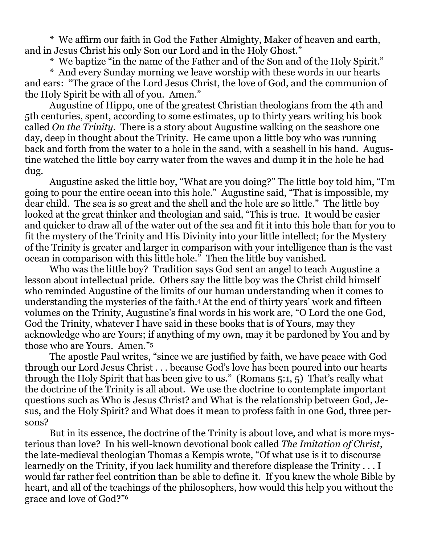\* We affirm our faith in God the Father Almighty, Maker of heaven and earth, and in Jesus Christ his only Son our Lord and in the Holy Ghost."

\* We baptize "in the name of the Father and of the Son and of the Holy Spirit."

\* And every Sunday morning we leave worship with these words in our hearts and ears: "The grace of the Lord Jesus Christ, the love of God, and the communion of the Holy Spirit be with all of you. Amen."

Augustine of Hippo, one of the greatest Christian theologians from the 4th and 5th centuries, spent, according to some estimates, up to thirty years writing his book called *On the Trinity*. There is a story about Augustine walking on the seashore one day, deep in thought about the Trinity. He came upon a little boy who was running back and forth from the water to a hole in the sand, with a seashell in his hand. Augustine watched the little boy carry water from the waves and dump it in the hole he had dug.

Augustine asked the little boy, "What are you doing?" The little boy told him, "I'm going to pour the entire ocean into this hole." Augustine said, "That is impossible, my dear child. The sea is so great and the shell and the hole are so little." The little boy looked at the great thinker and theologian and said, "This is true. It would be easier and quicker to draw all of the water out of the sea and fit it into this hole than for you to fit the mystery of the Trinity and His Divinity into your little intellect; for the Mystery of the Trinity is greater and larger in comparison with your intelligence than is the vast ocean in comparison with this little hole." Then the little boy vanished.

Who was the little boy? Tradition says God sent an angel to teach Augustine a lesson about intellectual pride. Others say the little boy was the Christ child himself who reminded Augustine of the limits of our human understanding when it comes to understanding the mysteries of the faith.4At the end of thirty years' work and fifteen volumes on the Trinity, Augustine's final words in his work are, "O Lord the one God, God the Trinity, whatever I have said in these books that is of Yours, may they acknowledge who are Yours; if anything of my own, may it be pardoned by You and by those who are Yours. Amen."<sup>5</sup>

The apostle Paul writes, "since we are justified by faith, we have peace with God through our Lord Jesus Christ . . . because God's love has been poured into our hearts through the Holy Spirit that has been give to us." (Romans 5:1, 5) That's really what the doctrine of the Trinity is all about. We use the doctrine to contemplate important questions such as Who is Jesus Christ? and What is the relationship between God, Jesus, and the Holy Spirit? and What does it mean to profess faith in one God, three persons?

But in its essence, the doctrine of the Trinity is about love, and what is more mysterious than love? In his well-known devotional book called *The Imitation of Christ*, the late-medieval theologian Thomas a Kempis wrote, "Of what use is it to discourse learnedly on the Trinity, if you lack humility and therefore displease the Trinity . . . I would far rather feel contrition than be able to define it. If you knew the whole Bible by heart, and all of the teachings of the philosophers, how would this help you without the grace and love of God?"<sup>6</sup>